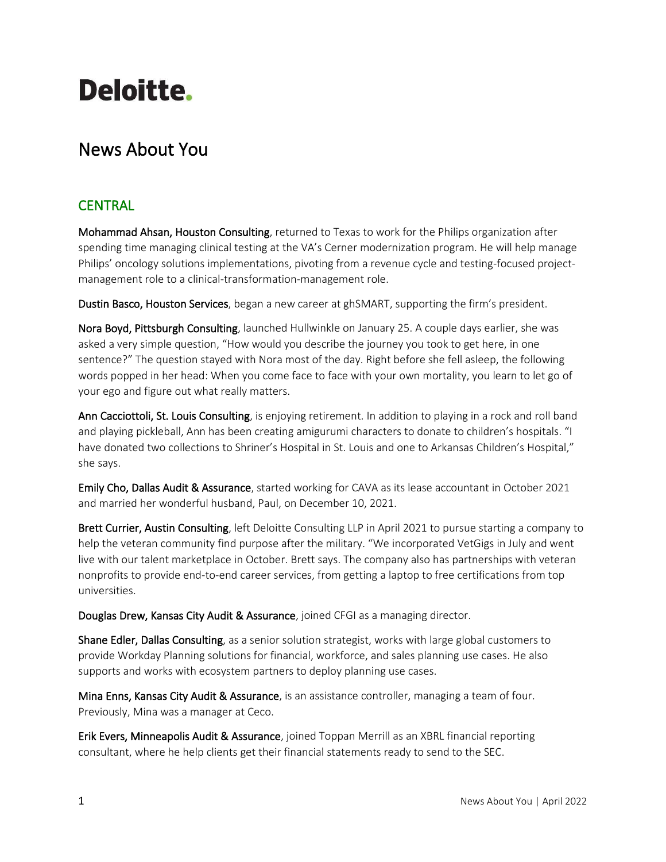# **Deloitte.**

## News About You

### **CENTRAL**

Mohammad Ahsan, Houston Consulting, returned to Texas to work for the Philips organization after spending time managing clinical testing at the VA's Cerner modernization program. He will help manage Philips' oncology solutions implementations, pivoting from a revenue cycle and testing-focused projectmanagement role to a clinical-transformation-management role.

Dustin Basco, Houston Services, began a new career at ghSMART, supporting the firm's president.

Nora Boyd, Pittsburgh Consulting, launched Hullwinkle on January 25. A couple days earlier, she was asked a very simple question, "How would you describe the journey you took to get here, in one sentence?" The question stayed with Nora most of the day. Right before she fell asleep, the following words popped in her head: When you come face to face with your own mortality, you learn to let go of your ego and figure out what really matters.

Ann Cacciottoli, St. Louis Consulting, is enjoying retirement. In addition to playing in a rock and roll band and playing pickleball, Ann has been creating amigurumi characters to donate to children's hospitals. "I have donated two collections to Shriner's Hospital in St. Louis and one to Arkansas Children's Hospital," she says.

Emily Cho, Dallas Audit & Assurance, started working for CAVA as its lease accountant in October 2021 and married her wonderful husband, Paul, on December 10, 2021.

Brett Currier, Austin Consulting, left Deloitte Consulting LLP in April 2021 to pursue starting a company to help the veteran community find purpose after the military. "We incorporated VetGigs in July and went live with our talent marketplace in October. Brett says. The company also has partnerships with veteran nonprofits to provide end-to-end career services, from getting a laptop to free certifications from top universities.

Douglas Drew, Kansas City Audit & Assurance, joined CFGI as a managing director.

Shane Edler, Dallas Consulting, as a senior solution strategist, works with large global customers to provide Workday Planning solutions for financial, workforce, and sales planning use cases. He also supports and works with ecosystem partners to deploy planning use cases.

Mina Enns, Kansas City Audit & Assurance, is an assistance controller, managing a team of four. Previously, Mina was a manager at Ceco.

Erik Evers, Minneapolis Audit & Assurance, joined Toppan Merrill as an XBRL financial reporting consultant, where he help clients get their financial statements ready to send to the SEC.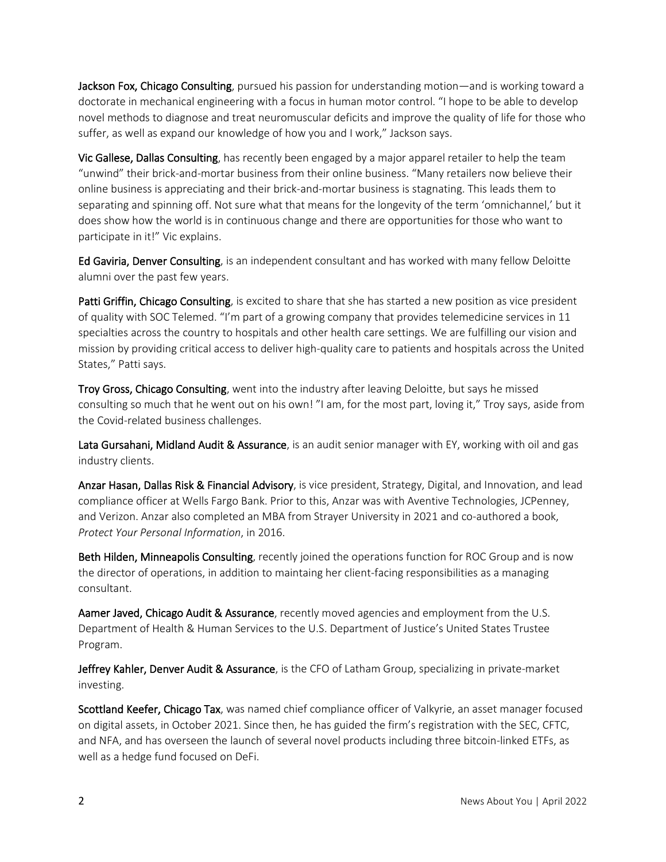Jackson Fox, Chicago Consulting, pursued his passion for understanding motion—and is working toward a doctorate in mechanical engineering with a focus in human motor control. "I hope to be able to develop novel methods to diagnose and treat neuromuscular deficits and improve the quality of life for those who suffer, as well as expand our knowledge of how you and I work," Jackson says.

Vic Gallese, Dallas Consulting, has recently been engaged by a major apparel retailer to help the team "unwind" their brick-and-mortar business from their online business. "Many retailers now believe their online business is appreciating and their brick-and-mortar business is stagnating. This leads them to separating and spinning off. Not sure what that means for the longevity of the term 'omnichannel,' but it does show how the world is in continuous change and there are opportunities for those who want to participate in it!" Vic explains.

Ed Gaviria, Denver Consulting, is an independent consultant and has worked with many fellow Deloitte alumni over the past few years.

Patti Griffin, Chicago Consulting, is excited to share that she has started a new position as vice president of quality with SOC Telemed. "I'm part of a growing company that provides telemedicine services in 11 specialties across the country to hospitals and other health care settings. We are fulfilling our vision and mission by providing critical access to deliver high-quality care to patients and hospitals across the United States," Patti says.

Troy Gross, Chicago Consulting, went into the industry after leaving Deloitte, but says he missed consulting so much that he went out on his own! "I am, for the most part, loving it," Troy says, aside from the Covid-related business challenges.

Lata Gursahani, Midland Audit & Assurance, is an audit senior manager with EY, working with oil and gas industry clients.

Anzar Hasan, Dallas Risk & Financial Advisory, is vice president, Strategy, Digital, and Innovation, and lead compliance officer at Wells Fargo Bank. Prior to this, Anzar was with Aventive Technologies, JCPenney, and Verizon. Anzar also completed an MBA from Strayer University in 2021 and co-authored a book, *Protect Your Personal Information*, in 2016.

Beth Hilden, Minneapolis Consulting, recently joined the operations function for ROC Group and is now the director of operations, in addition to maintaing her client-facing responsibilities as a managing consultant.

Aamer Javed, Chicago Audit & Assurance, recently moved agencies and employment from the U.S. Department of Health & Human Services to the U.S. Department of Justice's United States Trustee Program.

Jeffrey Kahler, Denver Audit & Assurance, is the CFO of Latham Group, specializing in private-market investing.

Scottland Keefer, Chicago Tax, was named chief compliance officer of Valkyrie, an asset manager focused on digital assets, in October 2021. Since then, he has guided the firm's registration with the SEC, CFTC, and NFA, and has overseen the launch of several novel products including three bitcoin-linked ETFs, as well as a hedge fund focused on DeFi.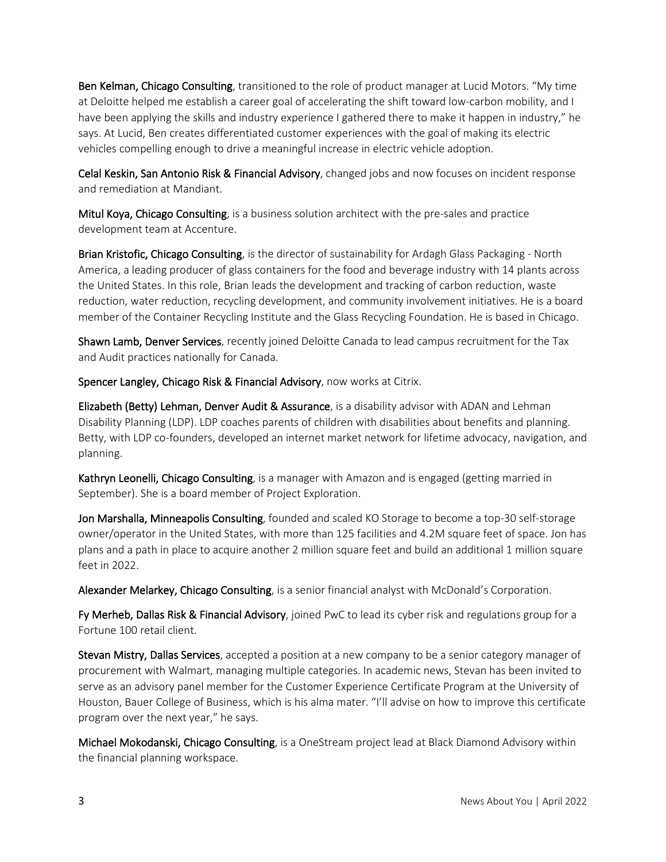Ben Kelman, Chicago Consulting, transitioned to the role of product manager at Lucid Motors. "My time at Deloitte helped me establish a career goal of accelerating the shift toward low-carbon mobility, and I have been applying the skills and industry experience I gathered there to make it happen in industry," he says. At Lucid, Ben creates differentiated customer experiences with the goal of making its electric vehicles compelling enough to drive a meaningful increase in electric vehicle adoption.

Celal Keskin, San Antonio Risk & Financial Advisory, changed jobs and now focuses on incident response and remediation at Mandiant.

Mitul Koya, Chicago Consulting, is a business solution architect with the pre-sales and practice development team at Accenture.

Brian Kristofic, Chicago Consulting, is the director of sustainability for Ardagh Glass Packaging - North America, a leading producer of glass containers for the food and beverage industry with 14 plants across the United States. In this role, Brian leads the development and tracking of carbon reduction, waste reduction, water reduction, recycling development, and community involvement initiatives. He is a board member of the Container Recycling Institute and the Glass Recycling Foundation. He is based in Chicago.

Shawn Lamb, Denver Services, recently joined Deloitte Canada to lead campus recruitment for the Tax and Audit practices nationally for Canada.

Spencer Langley, Chicago Risk & Financial Advisory, now works at Citrix.

Elizabeth (Betty) Lehman, Denver Audit & Assurance, is a disability advisor with ADAN and Lehman Disability Planning (LDP). LDP coaches parents of children with disabilities about benefits and planning. Betty, with LDP co-founders, developed an internet market network for lifetime advocacy, navigation, and planning.

Kathryn Leonelli, Chicago Consulting, is a manager with Amazon and is engaged (getting married in September). She is a board member of Project Exploration.

Jon Marshalla, Minneapolis Consulting, founded and scaled KO Storage to become a top-30 self-storage owner/operator in the United States, with more than 125 facilities and 4.2M square feet of space. Jon has plans and a path in place to acquire another 2 million square feet and build an additional 1 million square feet in 2022.

Alexander Melarkey, Chicago Consulting, is a senior financial analyst with McDonald's Corporation.

Fy Merheb, Dallas Risk & Financial Advisory, joined PwC to lead its cyber risk and regulations group for a Fortune 100 retail client.

Stevan Mistry, Dallas Services, accepted a position at a new company to be a senior category manager of procurement with Walmart, managing multiple categories. In academic news, Stevan has been invited to serve as an advisory panel member for the Customer Experience Certificate Program at the University of Houston, Bauer College of Business, which is his alma mater. "I'll advise on how to improve this certificate program over the next year," he says.

Michael Mokodanski, Chicago Consulting, is a OneStream project lead at Black Diamond Advisory within the financial planning workspace.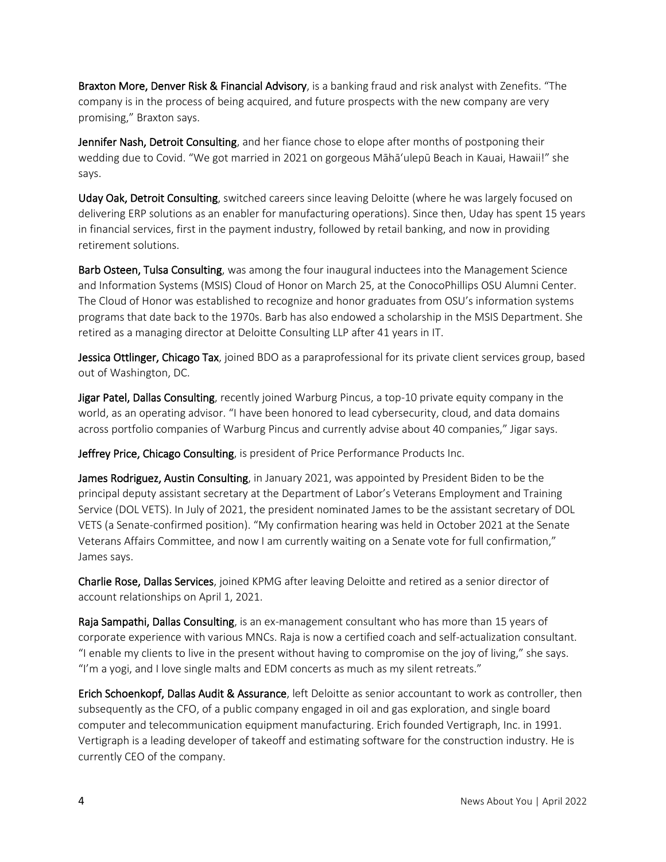Braxton More, Denver Risk & Financial Advisory, is a banking fraud and risk analyst with Zenefits. "The company is in the process of being acquired, and future prospects with the new company are very promising," Braxton says.

Jennifer Nash, Detroit Consulting, and her fiance chose to elope after months of postponing their wedding due to Covid. "We got married in 2021 on gorgeous Māhāʻulepū Beach in Kauai, Hawaii!" she says.

Uday Oak, Detroit Consulting, switched careers since leaving Deloitte (where he was largely focused on delivering ERP solutions as an enabler for manufacturing operations). Since then, Uday has spent 15 years in financial services, first in the payment industry, followed by retail banking, and now in providing retirement solutions.

Barb Osteen, Tulsa Consulting, was among the four inaugural inductees into the Management Science and Information Systems (MSIS) Cloud of Honor on March 25, at the ConocoPhillips OSU Alumni Center. The Cloud of Honor was established to recognize and honor graduates from OSU's information systems programs that date back to the 1970s. Barb has also endowed a scholarship in the MSIS Department. She retired as a managing director at Deloitte Consulting LLP after 41 years in IT.

Jessica Ottlinger, Chicago Tax, joined BDO as a paraprofessional for its private client services group, based out of Washington, DC.

Jigar Patel, Dallas Consulting, recently joined Warburg Pincus, a top-10 private equity company in the world, as an operating advisor. "I have been honored to lead cybersecurity, cloud, and data domains across portfolio companies of Warburg Pincus and currently advise about 40 companies," Jigar says.

Jeffrey Price, Chicago Consulting, is president of Price Performance Products Inc.

James Rodriguez, Austin Consulting, in January 2021, was appointed by President Biden to be the principal deputy assistant secretary at the Department of Labor's Veterans Employment and Training Service (DOL VETS). In July of 2021, the president nominated James to be the assistant secretary of DOL VETS (a Senate-confirmed position). "My confirmation hearing was held in October 2021 at the Senate Veterans Affairs Committee, and now I am currently waiting on a Senate vote for full confirmation," James says.

Charlie Rose, Dallas Services, joined KPMG after leaving Deloitte and retired as a senior director of account relationships on April 1, 2021.

Raja Sampathi, Dallas Consulting, is an ex-management consultant who has more than 15 years of corporate experience with various MNCs. Raja is now a certified coach and self-actualization consultant. "I enable my clients to live in the present without having to compromise on the joy of living," she says. "I'm a yogi, and I love single malts and EDM concerts as much as my silent retreats."

Erich Schoenkopf, Dallas Audit & Assurance, left Deloitte as senior accountant to work as controller, then subsequently as the CFO, of a public company engaged in oil and gas exploration, and single board computer and telecommunication equipment manufacturing. Erich founded Vertigraph, Inc. in 1991. Vertigraph is a leading developer of takeoff and estimating software for the construction industry. He is currently CEO of the company.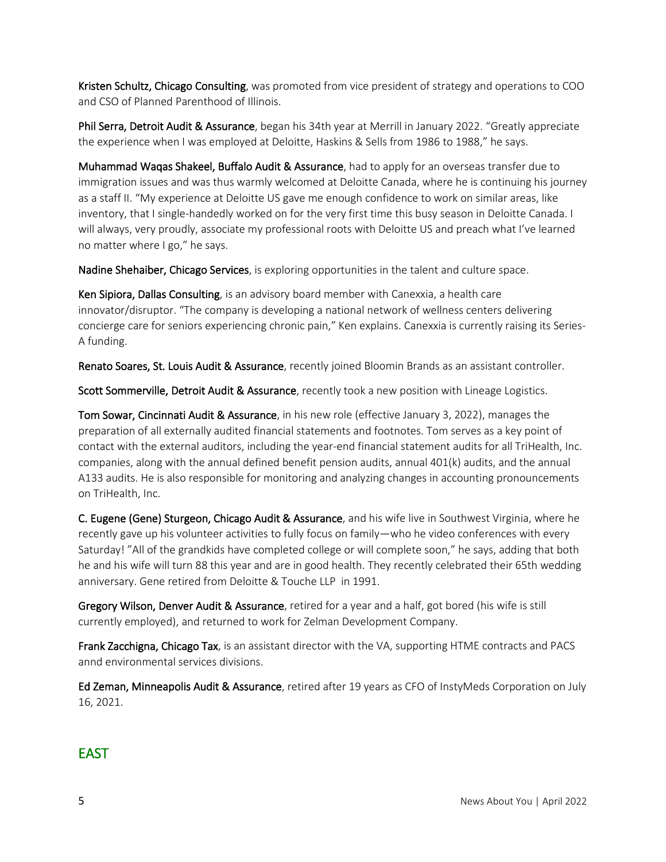Kristen Schultz, Chicago Consulting, was promoted from vice president of strategy and operations to COO and CSO of Planned Parenthood of Illinois.

Phil Serra, Detroit Audit & Assurance, began his 34th year at Merrill in January 2022. "Greatly appreciate the experience when I was employed at Deloitte, Haskins & Sells from 1986 to 1988," he says.

Muhammad Waqas Shakeel, Buffalo Audit & Assurance, had to apply for an overseas transfer due to immigration issues and was thus warmly welcomed at Deloitte Canada, where he is continuing his journey as a staff II. "My experience at Deloitte US gave me enough confidence to work on similar areas, like inventory, that I single-handedly worked on for the very first time this busy season in Deloitte Canada. I will always, very proudly, associate my professional roots with Deloitte US and preach what I've learned no matter where I go," he says.

Nadine Shehaiber, Chicago Services, is exploring opportunities in the talent and culture space.

Ken Sipiora, Dallas Consulting, is an advisory board member with Canexxia, a health care innovator/disruptor. "The company is developing a national network of wellness centers delivering concierge care for seniors experiencing chronic pain," Ken explains. Canexxia is currently raising its Series-A funding.

Renato Soares, St. Louis Audit & Assurance, recently joined Bloomin Brands as an assistant controller.

Scott Sommerville, Detroit Audit & Assurance, recently took a new position with Lineage Logistics.

Tom Sowar, Cincinnati Audit & Assurance, in his new role (effective January 3, 2022), manages the preparation of all externally audited financial statements and footnotes. Tom serves as a key point of contact with the external auditors, including the year-end financial statement audits for all TriHealth, Inc. companies, along with the annual defined benefit pension audits, annual 401(k) audits, and the annual A133 audits. He is also responsible for monitoring and analyzing changes in accounting pronouncements on TriHealth, Inc.

C. Eugene (Gene) Sturgeon, Chicago Audit & Assurance, and his wife live in Southwest Virginia, where he recently gave up his volunteer activities to fully focus on family—who he video conferences with every Saturday! "All of the grandkids have completed college or will complete soon," he says, adding that both he and his wife will turn 88 this year and are in good health. They recently celebrated their 65th wedding anniversary. Gene retired from Deloitte & Touche LLP in 1991.

Gregory Wilson, Denver Audit & Assurance, retired for a year and a half, got bored (his wife is still currently employed), and returned to work for Zelman Development Company.

Frank Zacchigna, Chicago Tax, is an assistant director with the VA, supporting HTME contracts and PACS annd environmental services divisions.

Ed Zeman, Minneapolis Audit & Assurance, retired after 19 years as CFO of InstyMeds Corporation on July 16, 2021.

#### **FAST**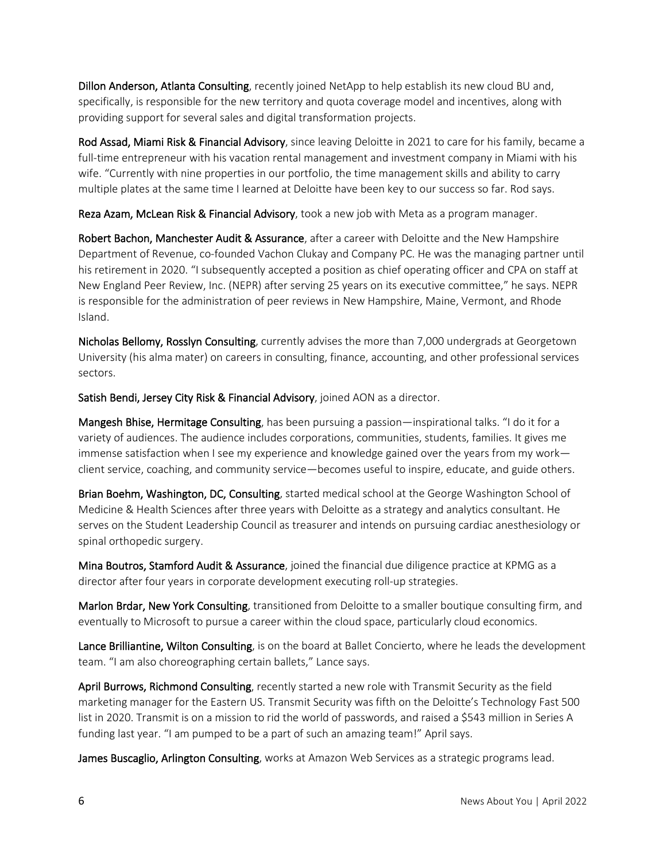Dillon Anderson, Atlanta Consulting, recently joined NetApp to help establish its new cloud BU and, specifically, is responsible for the new territory and quota coverage model and incentives, along with providing support for several sales and digital transformation projects.

Rod Assad, Miami Risk & Financial Advisory, since leaving Deloitte in 2021 to care for his family, became a full-time entrepreneur with his vacation rental management and investment company in Miami with his wife. "Currently with nine properties in our portfolio, the time management skills and ability to carry multiple plates at the same time I learned at Deloitte have been key to our success so far. Rod says.

Reza Azam, McLean Risk & Financial Advisory, took a new job with Meta as a program manager.

Robert Bachon, Manchester Audit & Assurance, after a career with Deloitte and the New Hampshire Department of Revenue, co-founded Vachon Clukay and Company PC. He was the managing partner until his retirement in 2020. "I subsequently accepted a position as chief operating officer and CPA on staff at New England Peer Review, Inc. (NEPR) after serving 25 years on its executive committee," he says. NEPR is responsible for the administration of peer reviews in New Hampshire, Maine, Vermont, and Rhode Island.

Nicholas Bellomy, Rosslyn Consulting, currently advises the more than 7,000 undergrads at Georgetown University (his alma mater) on careers in consulting, finance, accounting, and other professional services sectors.

Satish Bendi, Jersey City Risk & Financial Advisory, joined AON as a director.

Mangesh Bhise, Hermitage Consulting, has been pursuing a passion—inspirational talks. "I do it for a variety of audiences. The audience includes corporations, communities, students, families. It gives me immense satisfaction when I see my experience and knowledge gained over the years from my work client service, coaching, and community service—becomes useful to inspire, educate, and guide others.

Brian Boehm, Washington, DC, Consulting, started medical school at the George Washington School of Medicine & Health Sciences after three years with Deloitte as a strategy and analytics consultant. He serves on the Student Leadership Council as treasurer and intends on pursuing cardiac anesthesiology or spinal orthopedic surgery.

Mina Boutros, Stamford Audit & Assurance, joined the financial due diligence practice at KPMG as a director after four years in corporate development executing roll-up strategies.

Marlon Brdar, New York Consulting, transitioned from Deloitte to a smaller boutique consulting firm, and eventually to Microsoft to pursue a career within the cloud space, particularly cloud economics.

Lance Brilliantine, Wilton Consulting, is on the board at Ballet Concierto, where he leads the development team. "I am also choreographing certain ballets," Lance says.

April Burrows, Richmond Consulting, recently started a new role with Transmit Security as the field marketing manager for the Eastern US. Transmit Security was fifth on the Deloitte's Technology Fast 500 list in 2020. Transmit is on a mission to rid the world of passwords, and raised a \$543 million in Series A funding last year. "I am pumped to be a part of such an amazing team!" April says.

James Buscaglio, Arlington Consulting, works at Amazon Web Services as a strategic programs lead.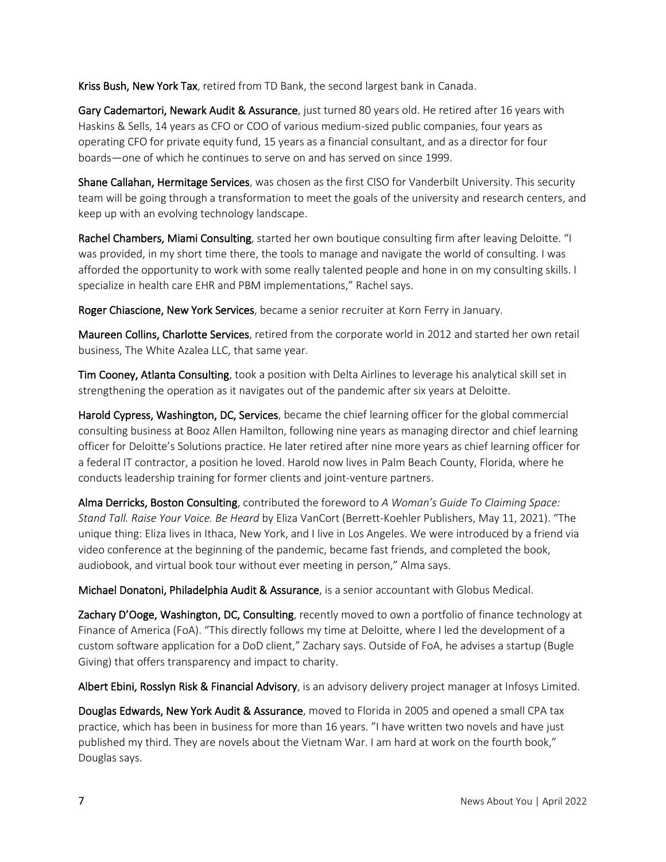Kriss Bush, New York Tax, retired from TD Bank, the second largest bank in Canada.

Gary Cademartori, Newark Audit & Assurance, just turned 80 years old. He retired after 16 years with Haskins & Sells, 14 years as CFO or COO of various medium-sized public companies, four years as operating CFO for private equity fund, 15 years as a financial consultant, and as a director for four boards—one of which he continues to serve on and has served on since 1999.

Shane Callahan, Hermitage Services, was chosen as the first CISO for Vanderbilt University. This security team will be going through a transformation to meet the goals of the university and research centers, and keep up with an evolving technology landscape.

Rachel Chambers, Miami Consulting, started her own boutique consulting firm after leaving Deloitte. "I was provided, in my short time there, the tools to manage and navigate the world of consulting. I was afforded the opportunity to work with some really talented people and hone in on my consulting skills. I specialize in health care EHR and PBM implementations," Rachel says.

Roger Chiascione, New York Services, became a senior recruiter at Korn Ferry in January.

Maureen Collins, Charlotte Services, retired from the corporate world in 2012 and started her own retail business, The White Azalea LLC, that same year.

Tim Cooney, Atlanta Consulting, took a position with Delta Airlines to leverage his analytical skill set in strengthening the operation as it navigates out of the pandemic after six years at Deloitte.

Harold Cypress, Washington, DC, Services, became the chief learning officer for the global commercial consulting business at Booz Allen Hamilton, following nine years as managing director and chief learning officer for Deloitte's Solutions practice. He later retired after nine more years as chief learning officer for a federal IT contractor, a position he loved. Harold now lives in Palm Beach County, Florida, where he conducts leadership training for former clients and joint-venture partners.

Alma Derricks, Boston Consulting, contributed the foreword to *A Woman's Guide To Claiming Space: Stand Tall. Raise Your Voice. Be Heard* by Eliza VanCort (Berrett-Koehler Publishers, May 11, 2021). "The unique thing: Eliza lives in Ithaca, New York, and I live in Los Angeles. We were introduced by a friend via video conference at the beginning of the pandemic, became fast friends, and completed the book, audiobook, and virtual book tour without ever meeting in person," Alma says.

Michael Donatoni, Philadelphia Audit & Assurance, is a senior accountant with Globus Medical.

Zachary D'Ooge, Washington, DC, Consulting, recently moved to own a portfolio of finance technology at Finance of America (FoA). "This directly follows my time at Deloitte, where I led the development of a custom software application for a DoD client," Zachary says. Outside of FoA, he advises a startup (Bugle Giving) that offers transparency and impact to charity.

Albert Ebini, Rosslyn Risk & Financial Advisory, is an advisory delivery project manager at Infosys Limited.

Douglas Edwards, New York Audit & Assurance, moved to Florida in 2005 and opened a small CPA tax practice, which has been in business for more than 16 years. "I have written two novels and have just published my third. They are novels about the Vietnam War. I am hard at work on the fourth book," Douglas says.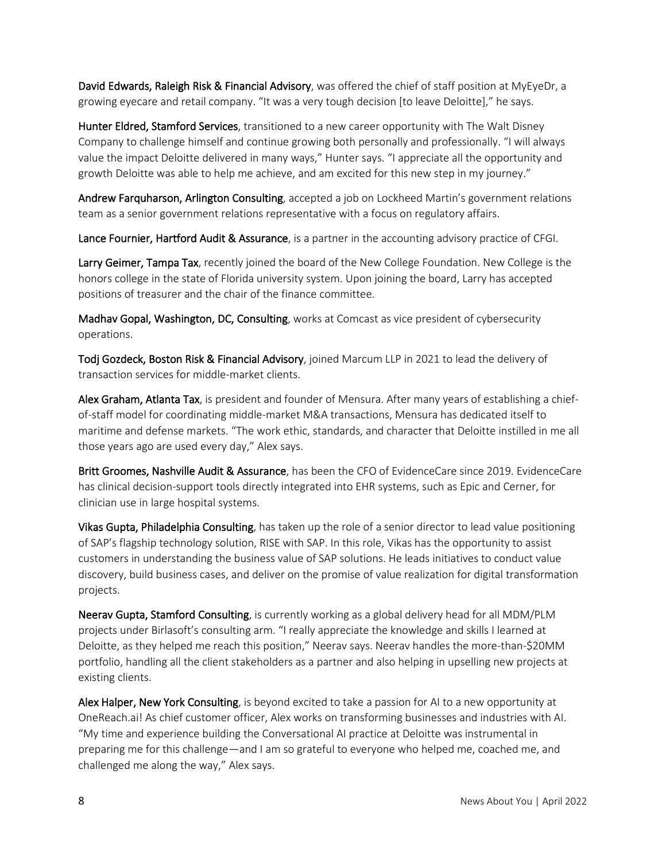David Edwards, Raleigh Risk & Financial Advisory, was offered the chief of staff position at MyEyeDr, a growing eyecare and retail company. "It was a very tough decision [to leave Deloitte]," he says.

Hunter Eldred, Stamford Services, transitioned to a new career opportunity with The Walt Disney Company to challenge himself and continue growing both personally and professionally. "I will always value the impact Deloitte delivered in many ways," Hunter says. "I appreciate all the opportunity and growth Deloitte was able to help me achieve, and am excited for this new step in my journey."

Andrew Farquharson, Arlington Consulting, accepted a job on Lockheed Martin's government relations team as a senior government relations representative with a focus on regulatory affairs.

Lance Fournier, Hartford Audit & Assurance, is a partner in the accounting advisory practice of CFGI.

Larry Geimer, Tampa Tax, recently joined the board of the New College Foundation. New College is the honors college in the state of Florida university system. Upon joining the board, Larry has accepted positions of treasurer and the chair of the finance committee.

Madhav Gopal, Washington, DC, Consulting, works at Comcast as vice president of cybersecurity operations.

Todj Gozdeck, Boston Risk & Financial Advisory, joined Marcum LLP in 2021 to lead the delivery of transaction services for middle-market clients.

Alex Graham, Atlanta Tax, is president and founder of Mensura. After many years of establishing a chiefof-staff model for coordinating middle-market M&A transactions, Mensura has dedicated itself to maritime and defense markets. "The work ethic, standards, and character that Deloitte instilled in me all those years ago are used every day," Alex says.

Britt Groomes, Nashville Audit & Assurance, has been the CFO of EvidenceCare since 2019. EvidenceCare has clinical decision-support tools directly integrated into EHR systems, such as Epic and Cerner, for clinician use in large hospital systems.

Vikas Gupta, Philadelphia Consulting, has taken up the role of a senior director to lead value positioning of SAP's flagship technology solution, RISE with SAP. In this role, Vikas has the opportunity to assist customers in understanding the business value of SAP solutions. He leads initiatives to conduct value discovery, build business cases, and deliver on the promise of value realization for digital transformation projects.

Neerav Gupta, Stamford Consulting, is currently working as a global delivery head for all MDM/PLM projects under Birlasoft's consulting arm. "I really appreciate the knowledge and skills I learned at Deloitte, as they helped me reach this position," Neerav says. Neerav handles the more-than-\$20MM portfolio, handling all the client stakeholders as a partner and also helping in upselling new projects at existing clients.

Alex Halper, New York Consulting, is beyond excited to take a passion for AI to a new opportunity at OneReach.ai! As chief customer officer, Alex works on transforming businesses and industries with AI. "My time and experience building the Conversational AI practice at Deloitte was instrumental in preparing me for this challenge—and I am so grateful to everyone who helped me, coached me, and challenged me along the way," Alex says.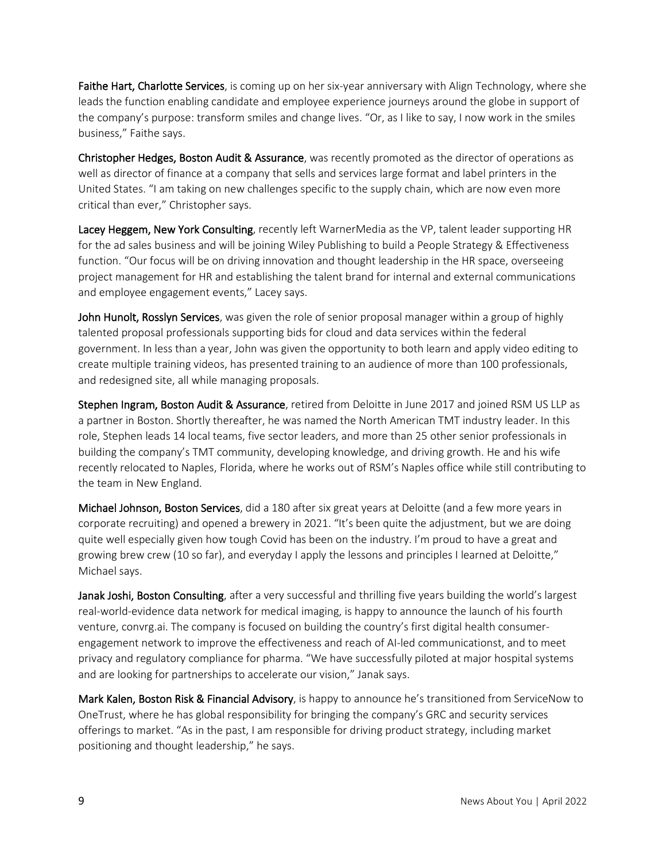Faithe Hart, Charlotte Services, is coming up on her six-year anniversary with Align Technology, where she leads the function enabling candidate and employee experience journeys around the globe in support of the company's purpose: transform smiles and change lives. "Or, as I like to say, I now work in the smiles business," Faithe says.

Christopher Hedges, Boston Audit & Assurance, was recently promoted as the director of operations as well as director of finance at a company that sells and services large format and label printers in the United States. "I am taking on new challenges specific to the supply chain, which are now even more critical than ever," Christopher says.

Lacey Heggem, New York Consulting, recently left WarnerMedia as the VP, talent leader supporting HR for the ad sales business and will be joining Wiley Publishing to build a People Strategy & Effectiveness function. "Our focus will be on driving innovation and thought leadership in the HR space, overseeing project management for HR and establishing the talent brand for internal and external communications and employee engagement events," Lacey says.

John Hunolt, Rosslyn Services, was given the role of senior proposal manager within a group of highly talented proposal professionals supporting bids for cloud and data services within the federal government. In less than a year, John was given the opportunity to both learn and apply video editing to create multiple training videos, has presented training to an audience of more than 100 professionals, and redesigned site, all while managing proposals.

Stephen Ingram, Boston Audit & Assurance, retired from Deloitte in June 2017 and joined RSM US LLP as a partner in Boston. Shortly thereafter, he was named the North American TMT industry leader. In this role, Stephen leads 14 local teams, five sector leaders, and more than 25 other senior professionals in building the company's TMT community, developing knowledge, and driving growth. He and his wife recently relocated to Naples, Florida, where he works out of RSM's Naples office while still contributing to the team in New England.

Michael Johnson, Boston Services, did a 180 after six great years at Deloitte (and a few more years in corporate recruiting) and opened a brewery in 2021. "It's been quite the adjustment, but we are doing quite well especially given how tough Covid has been on the industry. I'm proud to have a great and growing brew crew (10 so far), and everyday I apply the lessons and principles I learned at Deloitte," Michael says.

Janak Joshi, Boston Consulting, after a very successful and thrilling five years building the world's largest real-world-evidence data network for medical imaging, is happy to announce the launch of his fourth venture, convrg.ai. The company is focused on building the country's first digital health consumerengagement network to improve the effectiveness and reach of AI-led communicationst, and to meet privacy and regulatory compliance for pharma. "We have successfully piloted at major hospital systems and are looking for partnerships to accelerate our vision," Janak says.

Mark Kalen, Boston Risk & Financial Advisory, is happy to announce he's transitioned from ServiceNow to OneTrust, where he has global responsibility for bringing the company's GRC and security services offerings to market. "As in the past, I am responsible for driving product strategy, including market positioning and thought leadership," he says.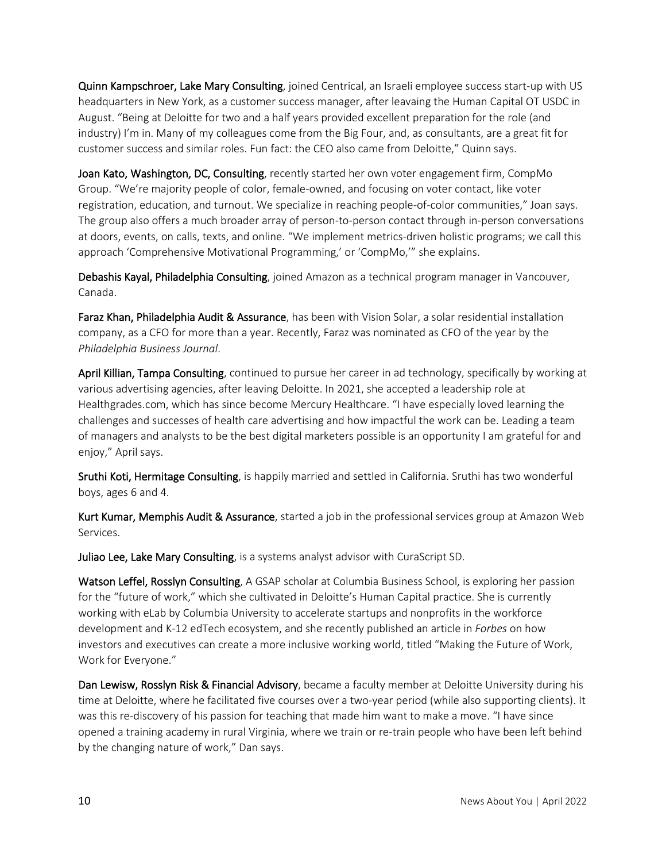Quinn Kampschroer, Lake Mary Consulting, joined Centrical, an Israeli employee success start-up with US headquarters in New York, as a customer success manager, after leavaing the Human Capital OT USDC in August. "Being at Deloitte for two and a half years provided excellent preparation for the role (and industry) I'm in. Many of my colleagues come from the Big Four, and, as consultants, are a great fit for customer success and similar roles. Fun fact: the CEO also came from Deloitte," Quinn says.

Joan Kato, Washington, DC, Consulting, recently started her own voter engagement firm, CompMo Group. "We're majority people of color, female-owned, and focusing on voter contact, like voter registration, education, and turnout. We specialize in reaching people-of-color communities," Joan says. The group also offers a much broader array of person-to-person contact through in-person conversations at doors, events, on calls, texts, and online. "We implement metrics-driven holistic programs; we call this approach 'Comprehensive Motivational Programming,' or 'CompMo,'" she explains.

Debashis Kayal, Philadelphia Consulting, joined Amazon as a technical program manager in Vancouver, Canada.

Faraz Khan, Philadelphia Audit & Assurance, has been with Vision Solar, a solar residential installation company, as a CFO for more than a year. Recently, Faraz was nominated as CFO of the year by the *Philadelphia Business Journal*.

April Killian, Tampa Consulting, continued to pursue her career in ad technology, specifically by working at various advertising agencies, after leaving Deloitte. In 2021, she accepted a leadership role at Healthgrades.com, which has since become Mercury Healthcare. "I have especially loved learning the challenges and successes of health care advertising and how impactful the work can be. Leading a team of managers and analysts to be the best digital marketers possible is an opportunity I am grateful for and enjoy," April says.

Sruthi Koti, Hermitage Consulting, is happily married and settled in California. Sruthi has two wonderful boys, ages 6 and 4.

Kurt Kumar, Memphis Audit & Assurance, started a job in the professional services group at Amazon Web Services.

Juliao Lee, Lake Mary Consulting, is a systems analyst advisor with CuraScript SD.

Watson Leffel, Rosslyn Consulting, A GSAP scholar at Columbia Business School, is exploring her passion for the "future of work," which she cultivated in Deloitte's Human Capital practice. She is currently working with eLab by Columbia University to accelerate startups and nonprofits in the workforce development and K-12 edTech ecosystem, and she recently published an article in *Forbes* on how investors and executives can create a more inclusive working world, titled "Making the Future of Work, Work for Everyone."

Dan Lewisw, Rosslyn Risk & Financial Advisory, became a faculty member at Deloitte University during his time at Deloitte, where he facilitated five courses over a two-year period (while also supporting clients). It was this re-discovery of his passion for teaching that made him want to make a move. "I have since opened a training academy in rural Virginia, where we train or re-train people who have been left behind by the changing nature of work," Dan says.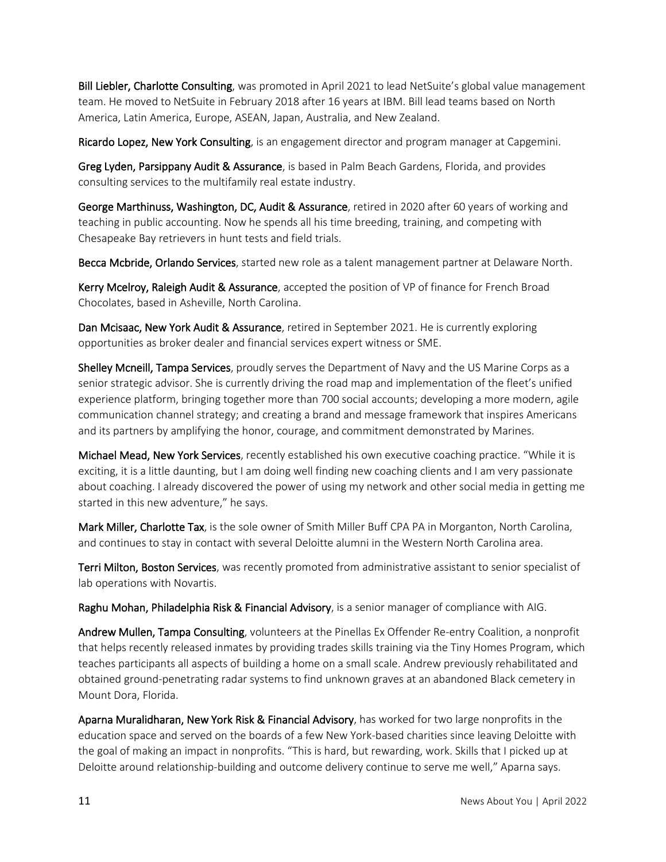Bill Liebler, Charlotte Consulting, was promoted in April 2021 to lead NetSuite's global value management team. He moved to NetSuite in February 2018 after 16 years at IBM. Bill lead teams based on North America, Latin America, Europe, ASEAN, Japan, Australia, and New Zealand.

Ricardo Lopez, New York Consulting, is an engagement director and program manager at Capgemini.

Greg Lyden, Parsippany Audit & Assurance, is based in Palm Beach Gardens, Florida, and provides consulting services to the multifamily real estate industry.

George Marthinuss, Washington, DC, Audit & Assurance, retired in 2020 after 60 years of working and teaching in public accounting. Now he spends all his time breeding, training, and competing with Chesapeake Bay retrievers in hunt tests and field trials.

Becca Mcbride, Orlando Services, started new role as a talent management partner at Delaware North.

Kerry Mcelroy, Raleigh Audit & Assurance, accepted the position of VP of finance for French Broad Chocolates, based in Asheville, North Carolina.

Dan Mcisaac, New York Audit & Assurance, retired in September 2021. He is currently exploring opportunities as broker dealer and financial services expert witness or SME.

Shelley Mcneill, Tampa Services, proudly serves the Department of Navy and the US Marine Corps as a senior strategic advisor. She is currently driving the road map and implementation of the fleet's unified experience platform, bringing together more than 700 social accounts; developing a more modern, agile communication channel strategy; and creating a brand and message framework that inspires Americans and its partners by amplifying the honor, courage, and commitment demonstrated by Marines.

Michael Mead, New York Services, recently established his own executive coaching practice. "While it is exciting, it is a little daunting, but I am doing well finding new coaching clients and I am very passionate about coaching. I already discovered the power of using my network and other social media in getting me started in this new adventure," he says.

Mark Miller, Charlotte Tax, is the sole owner of Smith Miller Buff CPA PA in Morganton, North Carolina, and continues to stay in contact with several Deloitte alumni in the Western North Carolina area.

Terri Milton, Boston Services, was recently promoted from administrative assistant to senior specialist of lab operations with Novartis.

Raghu Mohan, Philadelphia Risk & Financial Advisory, is a senior manager of compliance with AIG.

Andrew Mullen, Tampa Consulting, volunteers at the Pinellas Ex Offender Re-entry Coalition, a nonprofit that helps recently released inmates by providing trades skills training via the Tiny Homes Program, which teaches participants all aspects of building a home on a small scale. Andrew previously rehabilitated and obtained ground-penetrating radar systems to find unknown graves at an abandoned Black cemetery in Mount Dora, Florida.

Aparna Muralidharan, New York Risk & Financial Advisory, has worked for two large nonprofits in the education space and served on the boards of a few New York-based charities since leaving Deloitte with the goal of making an impact in nonprofits. "This is hard, but rewarding, work. Skills that I picked up at Deloitte around relationship-building and outcome delivery continue to serve me well," Aparna says.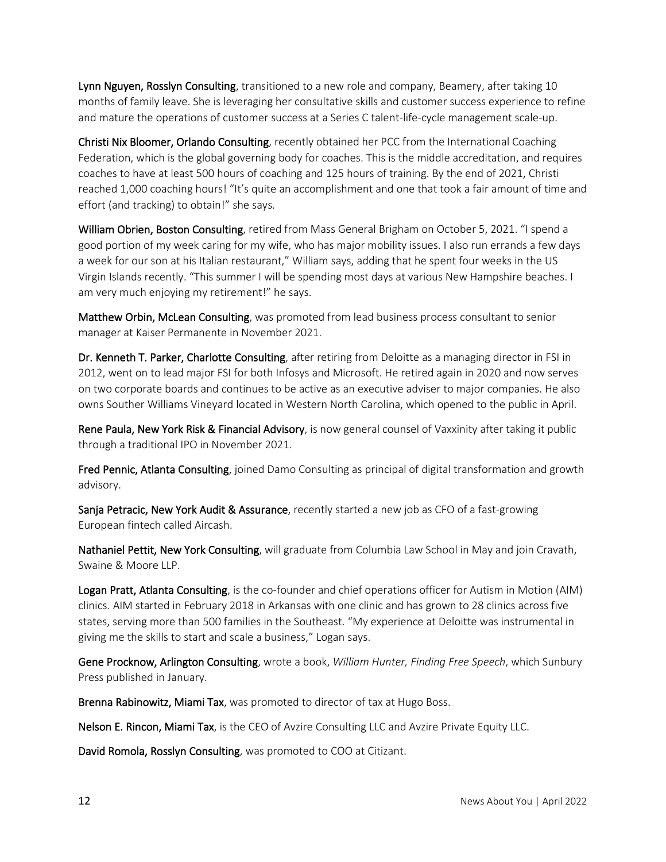Lynn Nguyen, Rosslyn Consulting, transitioned to a new role and company, Beamery, after taking 10 months of family leave. She is leveraging her consultative skills and customer success experience to refine and mature the operations of customer success at a Series C talent-life-cycle management scale-up.

Christi Nix Bloomer, Orlando Consulting, recently obtained her PCC from the International Coaching Federation, which is the global governing body for coaches. This is the middle accreditation, and requires coaches to have at least 500 hours of coaching and 125 hours of training. By the end of 2021, Christi reached 1,000 coaching hours! "It's quite an accomplishment and one that took a fair amount of time and effort (and tracking) to obtain!" she says.

William Obrien, Boston Consulting, retired from Mass General Brigham on October 5, 2021. "I spend a good portion of my week caring for my wife, who has major mobility issues. I also run errands a few days a week for our son at his Italian restaurant," William says, adding that he spent four weeks in the US Virgin Islands recently. "This summer I will be spending most days at various New Hampshire beaches. I am very much enjoying my retirement!" he says.

Matthew Orbin, McLean Consulting, was promoted from lead business process consultant to senior manager at Kaiser Permanente in November 2021.

Dr. Kenneth T. Parker, Charlotte Consulting, after retiring from Deloitte as a managing director in FSI in 2012, went on to lead major FSI for both Infosys and Microsoft. He retired again in 2020 and now serves on two corporate boards and continues to be active as an executive adviser to major companies. He also owns Souther Williams Vineyard located in Western North Carolina, which opened to the public in April.

Rene Paula, New York Risk & Financial Advisory, is now general counsel of Vaxxinity after taking it public through a traditional IPO in November 2021.

Fred Pennic, Atlanta Consulting, joined Damo Consulting as principal of digital transformation and growth advisory.

Sanja Petracic, New York Audit & Assurance, recently started a new job as CFO of a fast-growing European fintech called Aircash.

Nathaniel Pettit, New York Consulting, will graduate from Columbia Law School in May and join Cravath, Swaine & Moore LLP.

Logan Pratt, Atlanta Consulting, is the co-founder and chief operations officer for Autism in Motion (AIM) clinics. AIM started in February 2018 in Arkansas with one clinic and has grown to 28 clinics across five states, serving more than 500 families in the Southeast. "My experience at Deloitte was instrumental in giving me the skills to start and scale a business," Logan says.

Gene Procknow, Arlington Consulting, wrote a book, *William Hunter, Finding Free Speech*, which Sunbury Press published in January.

Brenna Rabinowitz, Miami Tax, was promoted to director of tax at Hugo Boss.

Nelson E. Rincon, Miami Tax, is the CEO of Avzire Consulting LLC and Avzire Private Equity LLC.

David Romola, Rosslyn Consulting, was promoted to COO at Citizant.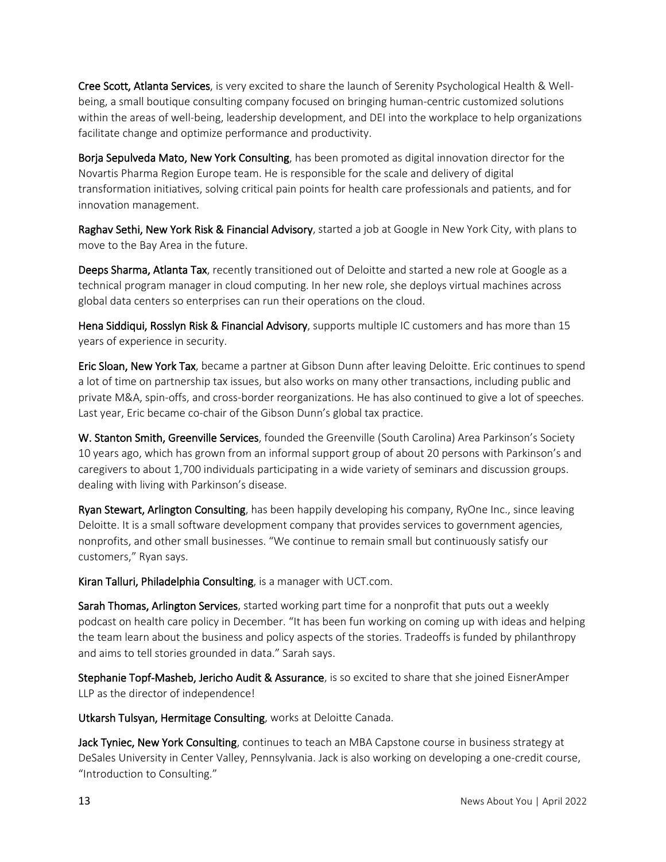Cree Scott, Atlanta Services, is very excited to share the launch of Serenity Psychological Health & Wellbeing, a small boutique consulting company focused on bringing human-centric customized solutions within the areas of well-being, leadership development, and DEI into the workplace to help organizations facilitate change and optimize performance and productivity.

Borja Sepulveda Mato, New York Consulting, has been promoted as digital innovation director for the Novartis Pharma Region Europe team. He is responsible for the scale and delivery of digital transformation initiatives, solving critical pain points for health care professionals and patients, and for innovation management.

Raghav Sethi, New York Risk & Financial Advisory, started a job at Google in New York City, with plans to move to the Bay Area in the future.

Deeps Sharma, Atlanta Tax, recently transitioned out of Deloitte and started a new role at Google as a technical program manager in cloud computing. In her new role, she deploys virtual machines across global data centers so enterprises can run their operations on the cloud.

Hena Siddiqui, Rosslyn Risk & Financial Advisory, supports multiple IC customers and has more than 15 years of experience in security.

Eric Sloan, New York Tax, became a partner at Gibson Dunn after leaving Deloitte. Eric continues to spend a lot of time on partnership tax issues, but also works on many other transactions, including public and private M&A, spin-offs, and cross-border reorganizations. He has also continued to give a lot of speeches. Last year, Eric became co-chair of the Gibson Dunn's global tax practice.

W. Stanton Smith, Greenville Services, founded the Greenville (South Carolina) Area Parkinson's Society 10 years ago, which has grown from an informal support group of about 20 persons with Parkinson's and caregivers to about 1,700 individuals participating in a wide variety of seminars and discussion groups. dealing with living with Parkinson's disease.

Ryan Stewart, Arlington Consulting, has been happily developing his company, RyOne Inc., since leaving Deloitte. It is a small software development company that provides services to government agencies, nonprofits, and other small businesses. "We continue to remain small but continuously satisfy our customers," Ryan says.

Kiran Talluri, Philadelphia Consulting, is a manager with UCT.com.

Sarah Thomas, Arlington Services, started working part time for a nonprofit that puts out a weekly podcast on health care policy in December. "It has been fun working on coming up with ideas and helping the team learn about the business and policy aspects of the stories. Tradeoffs is funded by philanthropy and aims to tell stories grounded in data." Sarah says.

Stephanie Topf-Masheb, Jericho Audit & Assurance, is so excited to share that she joined EisnerAmper LLP as the director of independence!

Utkarsh Tulsyan, Hermitage Consulting, works at Deloitte Canada.

Jack Tyniec, New York Consulting, continues to teach an MBA Capstone course in business strategy at DeSales University in Center Valley, Pennsylvania. Jack is also working on developing a one-credit course, "Introduction to Consulting."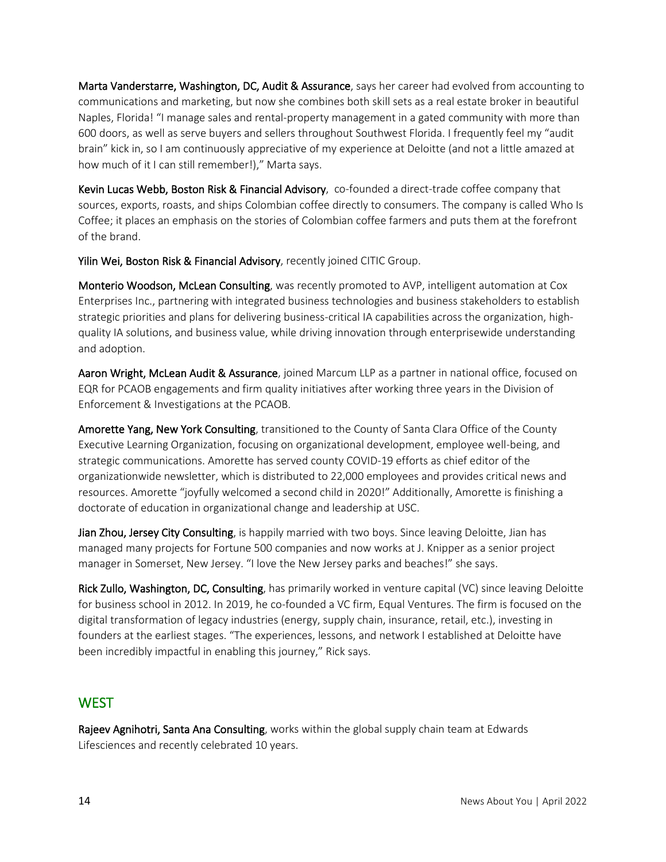Marta Vanderstarre, Washington, DC, Audit & Assurance, says her career had evolved from accounting to communications and marketing, but now she combines both skill sets as a real estate broker in beautiful Naples, Florida! "I manage sales and rental-property management in a gated community with more than 600 doors, as well as serve buyers and sellers throughout Southwest Florida. I frequently feel my "audit brain" kick in, so I am continuously appreciative of my experience at Deloitte (and not a little amazed at how much of it I can still remember!)," Marta says.

Kevin Lucas Webb, Boston Risk & Financial Advisory, co-founded a direct-trade coffee company that sources, exports, roasts, and ships Colombian coffee directly to consumers. The company is called Who Is Coffee; it places an emphasis on the stories of Colombian coffee farmers and puts them at the forefront of the brand.

Yilin Wei, Boston Risk & Financial Advisory, recently joined CITIC Group.

Monterio Woodson, McLean Consulting, was recently promoted to AVP, intelligent automation at Cox Enterprises Inc., partnering with integrated business technologies and business stakeholders to establish strategic priorities and plans for delivering business-critical IA capabilities across the organization, highquality IA solutions, and business value, while driving innovation through enterprisewide understanding and adoption.

Aaron Wright, McLean Audit & Assurance, joined Marcum LLP as a partner in national office, focused on EQR for PCAOB engagements and firm quality initiatives after working three years in the Division of Enforcement & Investigations at the PCAOB.

Amorette Yang, New York Consulting, transitioned to the County of Santa Clara Office of the County Executive Learning Organization, focusing on organizational development, employee well-being, and strategic communications. Amorette has served county COVID-19 efforts as chief editor of the organizationwide newsletter, which is distributed to 22,000 employees and provides critical news and resources. Amorette "joyfully welcomed a second child in 2020!" Additionally, Amorette is finishing a doctorate of education in organizational change and leadership at USC.

Jian Zhou, Jersey City Consulting, is happily married with two boys. Since leaving Deloitte, Jian has managed many projects for Fortune 500 companies and now works at J. Knipper as a senior project manager in Somerset, New Jersey. "I love the New Jersey parks and beaches!" she says.

Rick Zullo, Washington, DC, Consulting, has primarily worked in venture capital (VC) since leaving Deloitte for business school in 2012. In 2019, he co-founded a VC firm, Equal Ventures. The firm is focused on the digital transformation of legacy industries (energy, supply chain, insurance, retail, etc.), investing in founders at the earliest stages. "The experiences, lessons, and network I established at Deloitte have been incredibly impactful in enabling this journey," Rick says.

#### **WEST**

Rajeev Agnihotri, Santa Ana Consulting, works within the global supply chain team at Edwards Lifesciences and recently celebrated 10 years.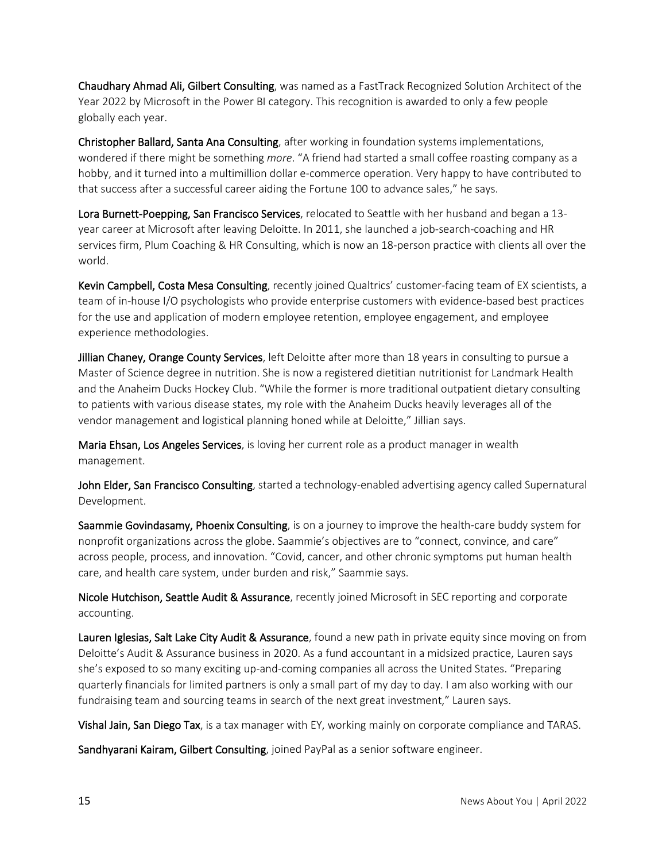Chaudhary Ahmad Ali, Gilbert Consulting, was named as a FastTrack Recognized Solution Architect of the Year 2022 by Microsoft in the Power BI category. This recognition is awarded to only a few people globally each year.

Christopher Ballard, Santa Ana Consulting, after working in foundation systems implementations, wondered if there might be something *more*. "A friend had started a small coffee roasting company as a hobby, and it turned into a multimillion dollar e-commerce operation. Very happy to have contributed to that success after a successful career aiding the Fortune 100 to advance sales," he says.

Lora Burnett-Poepping, San Francisco Services, relocated to Seattle with her husband and began a 13year career at Microsoft after leaving Deloitte. In 2011, she launched a job-search-coaching and HR services firm, Plum Coaching & HR Consulting, which is now an 18-person practice with clients all over the world.

Kevin Campbell, Costa Mesa Consulting, recently joined Qualtrics' customer-facing team of EX scientists, a team of in-house I/O psychologists who provide enterprise customers with evidence-based best practices for the use and application of modern employee retention, employee engagement, and employee experience methodologies.

Jillian Chaney, Orange County Services, left Deloitte after more than 18 years in consulting to pursue a Master of Science degree in nutrition. She is now a registered dietitian nutritionist for Landmark Health and the Anaheim Ducks Hockey Club. "While the former is more traditional outpatient dietary consulting to patients with various disease states, my role with the Anaheim Ducks heavily leverages all of the vendor management and logistical planning honed while at Deloitte," Jillian says.

Maria Ehsan, Los Angeles Services, is loving her current role as a product manager in wealth management.

John Elder, San Francisco Consulting, started a technology-enabled advertising agency called Supernatural Development.

Saammie Govindasamy, Phoenix Consulting, is on a journey to improve the health-care buddy system for nonprofit organizations across the globe. Saammie's objectives are to "connect, convince, and care" across people, process, and innovation. "Covid, cancer, and other chronic symptoms put human health care, and health care system, under burden and risk," Saammie says.

Nicole Hutchison, Seattle Audit & Assurance, recently joined Microsoft in SEC reporting and corporate accounting.

Lauren Iglesias, Salt Lake City Audit & Assurance, found a new path in private equity since moving on from Deloitte's Audit & Assurance business in 2020. As a fund accountant in a midsized practice, Lauren says she's exposed to so many exciting up-and-coming companies all across the United States. "Preparing quarterly financials for limited partners is only a small part of my day to day. I am also working with our fundraising team and sourcing teams in search of the next great investment," Lauren says.

Vishal Jain, San Diego Tax, is a tax manager with EY, working mainly on corporate compliance and TARAS.

Sandhyarani Kairam, Gilbert Consulting, joined PayPal as a senior software engineer.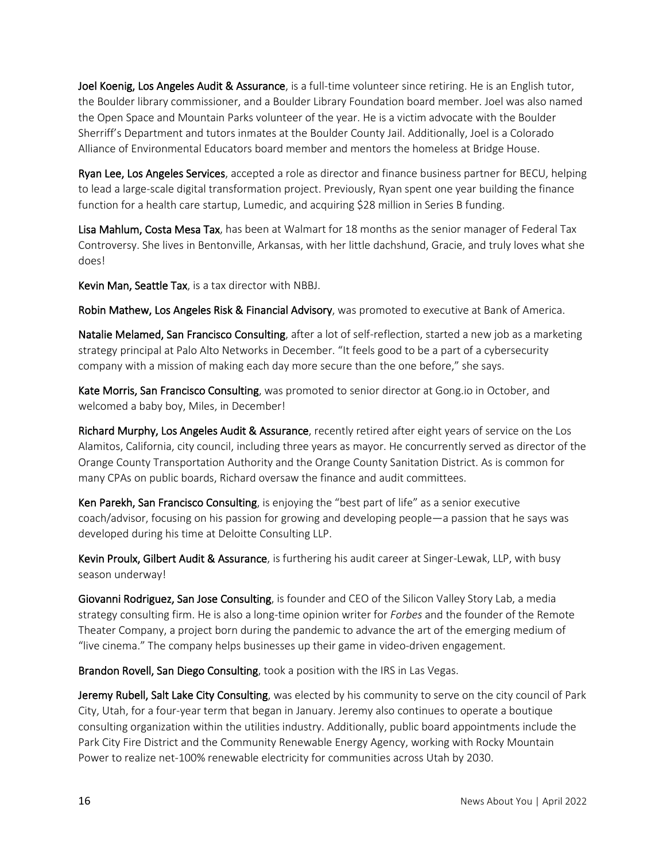Joel Koenig, Los Angeles Audit & Assurance, is a full-time volunteer since retiring. He is an English tutor, the Boulder library commissioner, and a Boulder Library Foundation board member. Joel was also named the Open Space and Mountain Parks volunteer of the year. He is a victim advocate with the Boulder Sherriff's Department and tutors inmates at the Boulder County Jail. Additionally, Joel is a Colorado Alliance of Environmental Educators board member and mentors the homeless at Bridge House.

Ryan Lee, Los Angeles Services, accepted a role as director and finance business partner for BECU, helping to lead a large-scale digital transformation project. Previously, Ryan spent one year building the finance function for a health care startup, Lumedic, and acquiring \$28 million in Series B funding.

Lisa Mahlum, Costa Mesa Tax, has been at Walmart for 18 months as the senior manager of Federal Tax Controversy. She lives in Bentonville, Arkansas, with her little dachshund, Gracie, and truly loves what she does!

Kevin Man, Seattle Tax, is a tax director with NBBJ.

Robin Mathew, Los Angeles Risk & Financial Advisory, was promoted to executive at Bank of America.

Natalie Melamed, San Francisco Consulting, after a lot of self-reflection, started a new job as a marketing strategy principal at Palo Alto Networks in December. "It feels good to be a part of a cybersecurity company with a mission of making each day more secure than the one before," she says.

Kate Morris, San Francisco Consulting, was promoted to senior director at Gong.io in October, and welcomed a baby boy, Miles, in December!

Richard Murphy, Los Angeles Audit & Assurance, recently retired after eight years of service on the Los Alamitos, California, city council, including three years as mayor. He concurrently served as director of the Orange County Transportation Authority and the Orange County Sanitation District. As is common for many CPAs on public boards, Richard oversaw the finance and audit committees.

Ken Parekh, San Francisco Consulting, is enjoying the "best part of life" as a senior executive coach/advisor, focusing on his passion for growing and developing people—a passion that he says was developed during his time at Deloitte Consulting LLP.

Kevin Proulx, Gilbert Audit & Assurance, is furthering his audit career at Singer-Lewak, LLP, with busy season underway!

Giovanni Rodriguez, San Jose Consulting, is founder and CEO of the Silicon Valley Story Lab, a media strategy consulting firm. He is also a long-time opinion writer for *Forbes* and the founder of the Remote Theater Company, a project born during the pandemic to advance the art of the emerging medium of "live cinema." The company helps businesses up their game in video-driven engagement.

Brandon Rovell, San Diego Consulting, took a position with the IRS in Las Vegas.

Jeremy Rubell, Salt Lake City Consulting, was elected by his community to serve on the city council of Park City, Utah, for a four-year term that began in January. Jeremy also continues to operate a boutique consulting organization within the utilities industry. Additionally, public board appointments include the Park City Fire District and the Community Renewable Energy Agency, working with Rocky Mountain Power to realize net-100% renewable electricity for communities across Utah by 2030.